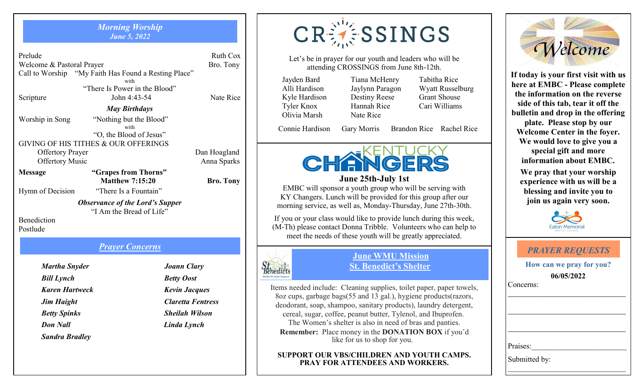#### *Morning Worship June 5, 2022*

*May Birthdays*

Prelude Ruth Cox Welcome & Pastoral Prayer Bro. Tony Call to Worship "My Faith Has Found a Resting Place" with "There Is Power in the Blood" Scripture John 4:43-54 Nate Rice

Worship in Song "Nothing but the Blood"

with "O, the Blood of Jesus"

GIVING OF HIS TITHES & OUR OFFERINGS Offertory Prayer Dan Hoagland

Offertory Music Anna Sparks

**Message "Grapes from Thorns" Matthew 7:15:20 Bro. Tony** Hymn of Decision "There Is a Fountain"

> *Observance of the Lord's Supper* "I Am the Bread of Life"

Benediction Postlude 

# *Prayer Concerns*

*Martha Snyder Joann Clary Bill Lynch Betty Oost Don Nall Linda Lynch Sandra Bradley* 

 *Jim Haight Claretta Fentress Betty Spinks* Sheilah Wilson

**CRESSINGS** 

Let's be in prayer for our youth and leaders who will be attending CROSSINGS from June 8th-12th.

Jayden Bard Tiana McHenry Tabitha Rice Olivia Marsh Nate Rice

*<u>Stenedicts</u>* 

Kyle Hardison Destiny Reese Grant Shouse Tyler Knox Hannah Rice Cari Williams

Alli Hardison Jaylynn Paragon Wyatt Russelburg

Connie Hardison Gary Morris Brandon Rice Rachel Rice



**June 25th-July 1st** EMBC will sponsor a youth group who will be serving with KY Changers. Lunch will be provided for this group after our morning service, as well as, Monday-Thursday, June 27th-30th.

If you or your class would like to provide lunch during this week, (M-Th) please contact Donna Tribble. Volunteers who can help to meet the needs of these youth will be greatly appreciated.

## **June WMU Mission St. Benedict's Shelter**

Items needed include: Cleaning supplies, toilet paper, paper towels, 8oz cups, garbage bags(55 and 13 gal.), hygiene products(razors, deodorant, soap, shampoo, sanitary products), laundry detergent, cereal, sugar, coffee, peanut butter, Tylenol, and Ibuprofen. The Women's shelter is also in need of bras and panties. **Remember:** Place money in the **DONATION BOX** if you'd like for us to shop for you.

### **SUPPORT OUR VBS/CHILDREN AND YOUTH CAMPS. PRAY FOR ATTENDEES AND WORKERS.**



**If today is your first visit with us here at EMBC - Please complete the information on the reverse side of this tab, tear it off the bulletin and drop in the offering plate. Please stop by our Welcome Center in the foyer. We would love to give you a special gift and more information about EMBC.**

**We pray that your worship experience with us will be a blessing and invite you to join us again very soon.**



|                                        | <b>PRAYER REQUESTS</b> |  |  |  |  |
|----------------------------------------|------------------------|--|--|--|--|
| How can we pray for you?<br>06/05/2022 |                        |  |  |  |  |
|                                        | Concerns:              |  |  |  |  |
|                                        |                        |  |  |  |  |
|                                        |                        |  |  |  |  |
|                                        |                        |  |  |  |  |
|                                        | Praises:               |  |  |  |  |
|                                        | Submitted by:          |  |  |  |  |

 *Karen Hartweck Kevin Jacques*